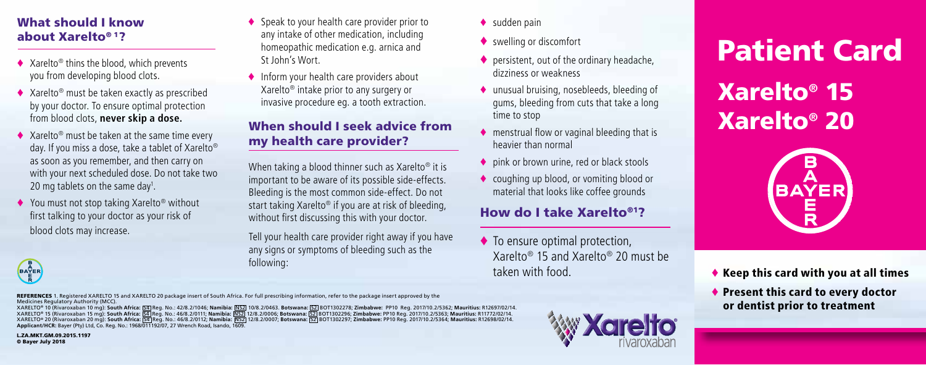#### What should I know about Xarelto® 1?

- ♦ Xarelto® thins the blood, which prevents you from developing blood clots.
- ♦ Xarelto® must be taken exactly as prescribed by your doctor. To ensure optimal protection from blood clots, **never skip a dose.**
- ♦ Xarelto® must be taken at the same time every day. If you miss a dose, take a tablet of Xarelto® as soon as you remember, and then carry on with your next scheduled dose. Do not take two 20 mg tablets on the same day<sup>1</sup>.
- ♦ You must not stop taking Xarelto® without first talking to your doctor as your risk of blood clots may increase.
- ♦ Speak to your health care provider prior to any intake of other medication, including homeopathic medication e.g. arnica and St John's Wort.
- ♦ Inform your health care providers about Xarelto® intake prior to any surgery or invasive procedure eg. a tooth extraction.

#### When should I seek advice from my health care provider?

When taking a blood thinner such as Xarelto® it is important to be aware of its possible side-effects. Bleeding is the most common side-effect. Do not start taking Xarelto® if you are at risk of bleeding, without first discussing this with your doctor.

Tell your health care provider right away if you have any signs or symptoms of bleeding such as the following:

- $\bullet$  sudden pain
- ♦ swelling or discomfort
- $\bullet$  persistent, out of the ordinary headache dizziness or weakness
- ♦ unusual bruising, nosebleeds, bleeding of gums, bleeding from cuts that take a long time to stop
- ♦ menstrual flow or vaginal bleeding that is heavier than normal
- ♦ pink or brown urine, red or black stools
- ♦ coughing up blood, or vomiting blood or material that looks like coffee grounds

### How do I take Xarelto®1?

 $\blacklozenge$  To ensure optimal protection. Xarelto® 15 and Xarelto® 20 must be taken with food.

Xarelto**®** 15 Xarelto**®** 20 Patient Card



- ♦ Keep this card with you at all times
- ♦ Present this card to every doctor or dentist prior to treatment

REFERENCES 1. Registered XARELTO 15 and XARELTO 20 package insert of South Africa. For full prescribing information, refer to the package insert approved by the Medicines Regulatory Authority (MCC).

XARELTO® 10 (Rivaroxaban 10 mg): **South Africa:** S4 Reg. No.: 42/8.2/1046; **Namibia:** NS2 10/8.2/0463. **Botswana:** S2 BOT1302278; **Zimbabwe:** PP10 Reg. 2017/10.2/5362; **Mauritius:** R12697/02/14. XARELTO® 15 (Rivaroxaban 15 mg): **South Africa:** S4 Reg. No.: 46/8.2/0111; **Namibia:** NS2 12/8.2/0006; **Botswana:** S2 BOT1302296; **Zimbabwe:** PP10 Reg. 2017/10.2/5363; **Mauritius:** R11772/02/14. XARELTO® 20 (Rivaroxaban 20 mg): **South Africa:** S4 Reg. No.: 46/8.2/0112; **Namibia:** NS2 12/8.2/0007; **Botswana:** S2 BOT1302297; **Zimbabwe:** PP10 Reg. 2017/10.2/5364; **Mauritius:** R12698/02/14. **Applicant/HCR:** Bayer (Pty) Ltd, Co. Reg. No.: 1968/011192/07, 27 Wrench Road, Isando, 1609.

L.ZA.MKT.GM.09.2015.1197 © Bayer July 2018

BAYER